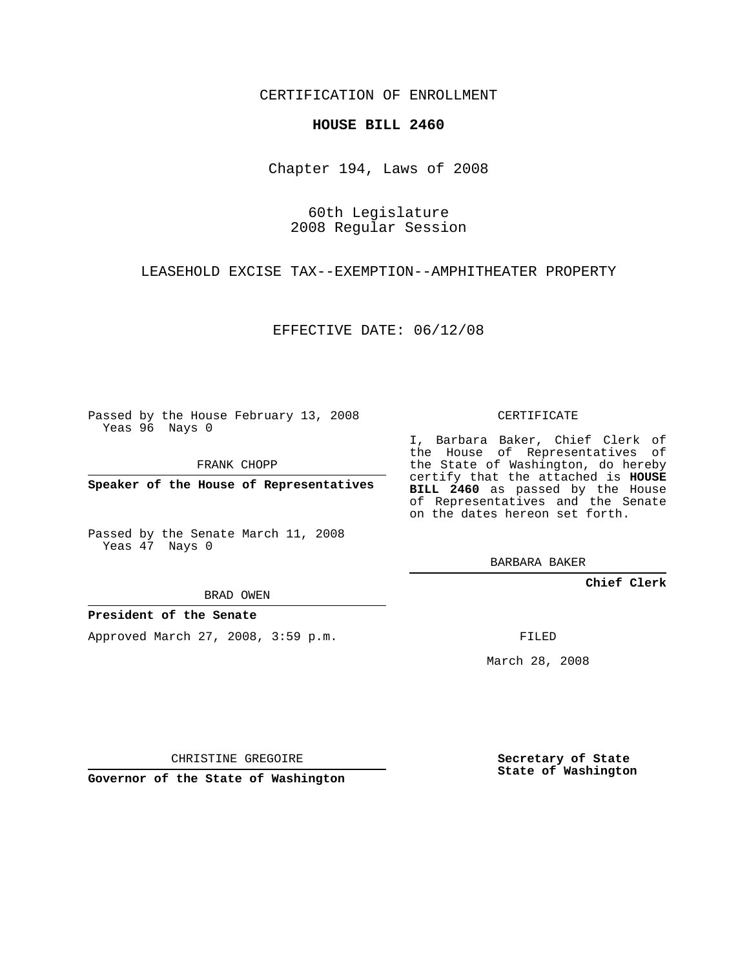CERTIFICATION OF ENROLLMENT

## **HOUSE BILL 2460**

Chapter 194, Laws of 2008

60th Legislature 2008 Regular Session

LEASEHOLD EXCISE TAX--EXEMPTION--AMPHITHEATER PROPERTY

EFFECTIVE DATE: 06/12/08

Passed by the House February 13, 2008 Yeas 96 Nays 0

FRANK CHOPP

**Speaker of the House of Representatives**

Passed by the Senate March 11, 2008 Yeas 47 Nays 0

BRAD OWEN

**President of the Senate**

Approved March 27, 2008, 3:59 p.m.

CERTIFICATE

I, Barbara Baker, Chief Clerk of the House of Representatives of the State of Washington, do hereby certify that the attached is **HOUSE BILL 2460** as passed by the House of Representatives and the Senate on the dates hereon set forth.

BARBARA BAKER

**Chief Clerk**

FILED

March 28, 2008

CHRISTINE GREGOIRE

**Governor of the State of Washington**

**Secretary of State State of Washington**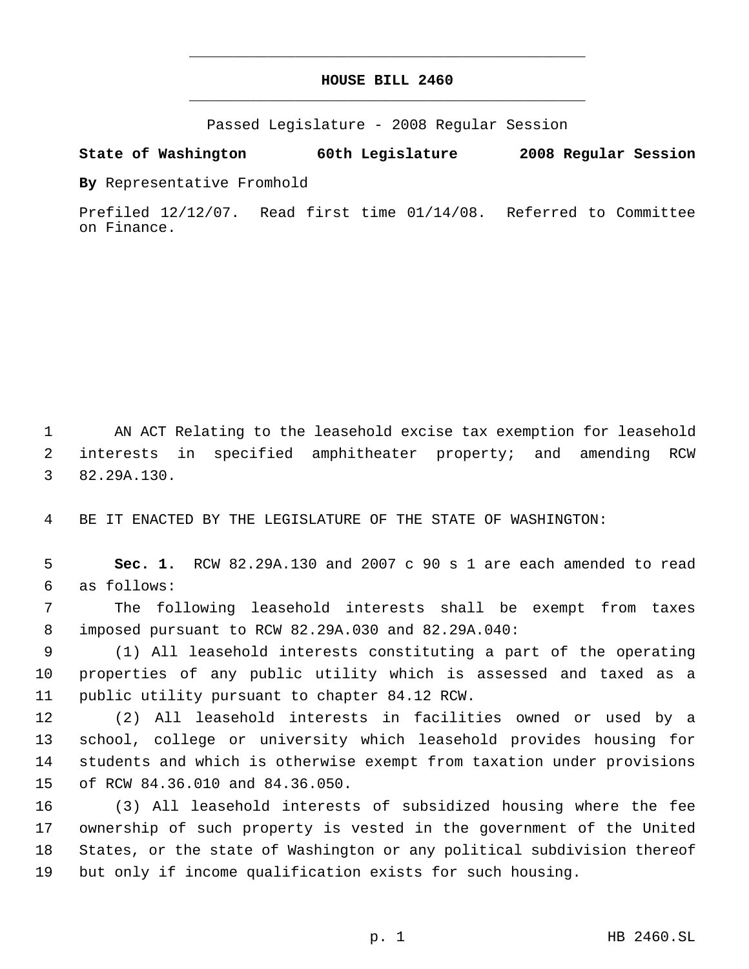## **HOUSE BILL 2460** \_\_\_\_\_\_\_\_\_\_\_\_\_\_\_\_\_\_\_\_\_\_\_\_\_\_\_\_\_\_\_\_\_\_\_\_\_\_\_\_\_\_\_\_\_

\_\_\_\_\_\_\_\_\_\_\_\_\_\_\_\_\_\_\_\_\_\_\_\_\_\_\_\_\_\_\_\_\_\_\_\_\_\_\_\_\_\_\_\_\_

Passed Legislature - 2008 Regular Session

## **State of Washington 60th Legislature 2008 Regular Session**

**By** Representative Fromhold

Prefiled 12/12/07. Read first time 01/14/08. Referred to Committee on Finance.

 AN ACT Relating to the leasehold excise tax exemption for leasehold interests in specified amphitheater property; and amending RCW 82.29A.130.

BE IT ENACTED BY THE LEGISLATURE OF THE STATE OF WASHINGTON:

 **Sec. 1.** RCW 82.29A.130 and 2007 c 90 s 1 are each amended to read as follows:

 The following leasehold interests shall be exempt from taxes imposed pursuant to RCW 82.29A.030 and 82.29A.040:

 (1) All leasehold interests constituting a part of the operating properties of any public utility which is assessed and taxed as a public utility pursuant to chapter 84.12 RCW.

 (2) All leasehold interests in facilities owned or used by a school, college or university which leasehold provides housing for students and which is otherwise exempt from taxation under provisions of RCW 84.36.010 and 84.36.050.

 (3) All leasehold interests of subsidized housing where the fee ownership of such property is vested in the government of the United States, or the state of Washington or any political subdivision thereof but only if income qualification exists for such housing.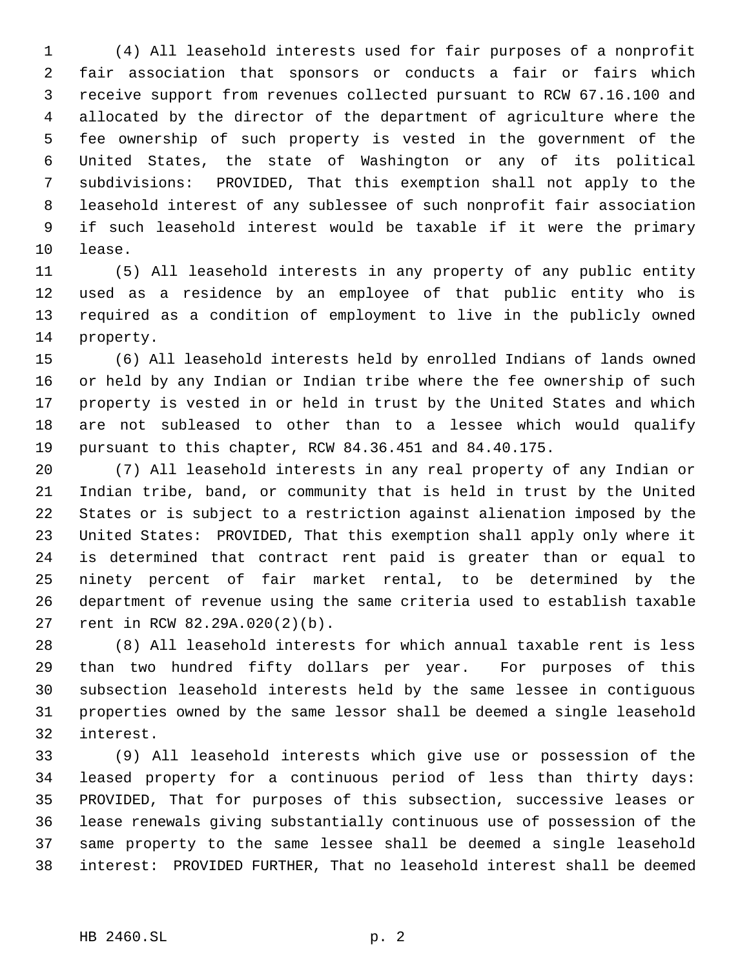(4) All leasehold interests used for fair purposes of a nonprofit fair association that sponsors or conducts a fair or fairs which receive support from revenues collected pursuant to RCW 67.16.100 and allocated by the director of the department of agriculture where the fee ownership of such property is vested in the government of the United States, the state of Washington or any of its political subdivisions: PROVIDED, That this exemption shall not apply to the leasehold interest of any sublessee of such nonprofit fair association if such leasehold interest would be taxable if it were the primary lease.

 (5) All leasehold interests in any property of any public entity used as a residence by an employee of that public entity who is required as a condition of employment to live in the publicly owned property.

 (6) All leasehold interests held by enrolled Indians of lands owned or held by any Indian or Indian tribe where the fee ownership of such property is vested in or held in trust by the United States and which are not subleased to other than to a lessee which would qualify pursuant to this chapter, RCW 84.36.451 and 84.40.175.

 (7) All leasehold interests in any real property of any Indian or Indian tribe, band, or community that is held in trust by the United States or is subject to a restriction against alienation imposed by the United States: PROVIDED, That this exemption shall apply only where it is determined that contract rent paid is greater than or equal to ninety percent of fair market rental, to be determined by the department of revenue using the same criteria used to establish taxable rent in RCW 82.29A.020(2)(b).

 (8) All leasehold interests for which annual taxable rent is less than two hundred fifty dollars per year. For purposes of this subsection leasehold interests held by the same lessee in contiguous properties owned by the same lessor shall be deemed a single leasehold interest.

 (9) All leasehold interests which give use or possession of the leased property for a continuous period of less than thirty days: PROVIDED, That for purposes of this subsection, successive leases or lease renewals giving substantially continuous use of possession of the same property to the same lessee shall be deemed a single leasehold interest: PROVIDED FURTHER, That no leasehold interest shall be deemed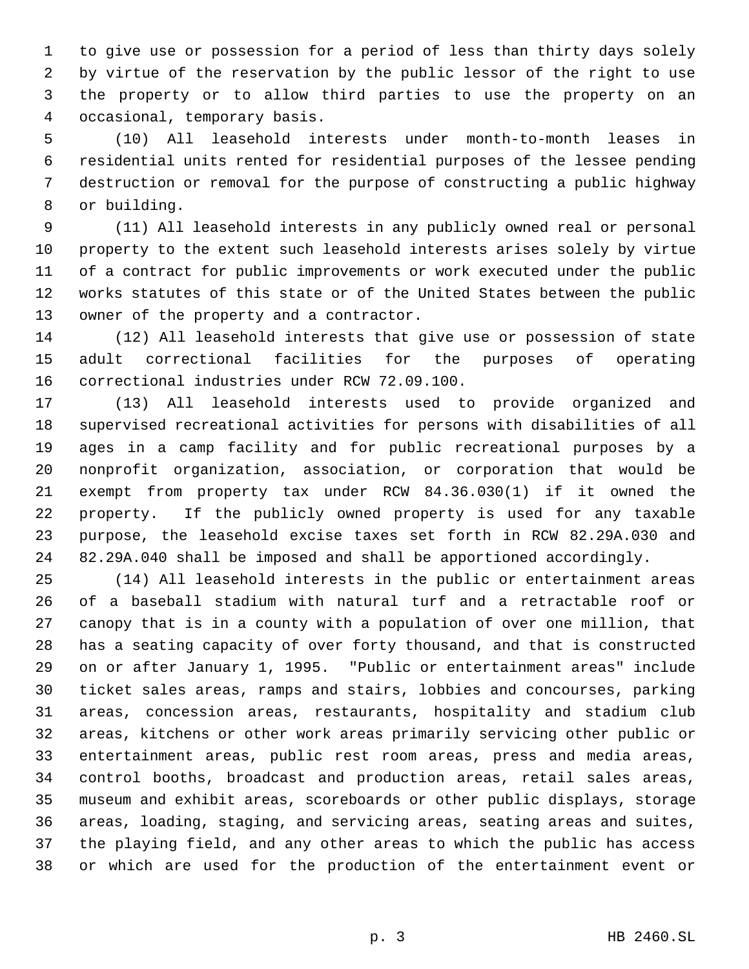to give use or possession for a period of less than thirty days solely by virtue of the reservation by the public lessor of the right to use the property or to allow third parties to use the property on an occasional, temporary basis.

 (10) All leasehold interests under month-to-month leases in residential units rented for residential purposes of the lessee pending destruction or removal for the purpose of constructing a public highway or building.

 (11) All leasehold interests in any publicly owned real or personal property to the extent such leasehold interests arises solely by virtue of a contract for public improvements or work executed under the public works statutes of this state or of the United States between the public owner of the property and a contractor.

 (12) All leasehold interests that give use or possession of state adult correctional facilities for the purposes of operating correctional industries under RCW 72.09.100.

 (13) All leasehold interests used to provide organized and supervised recreational activities for persons with disabilities of all ages in a camp facility and for public recreational purposes by a nonprofit organization, association, or corporation that would be exempt from property tax under RCW 84.36.030(1) if it owned the property. If the publicly owned property is used for any taxable purpose, the leasehold excise taxes set forth in RCW 82.29A.030 and 82.29A.040 shall be imposed and shall be apportioned accordingly.

 (14) All leasehold interests in the public or entertainment areas of a baseball stadium with natural turf and a retractable roof or canopy that is in a county with a population of over one million, that has a seating capacity of over forty thousand, and that is constructed on or after January 1, 1995. "Public or entertainment areas" include ticket sales areas, ramps and stairs, lobbies and concourses, parking areas, concession areas, restaurants, hospitality and stadium club areas, kitchens or other work areas primarily servicing other public or entertainment areas, public rest room areas, press and media areas, control booths, broadcast and production areas, retail sales areas, museum and exhibit areas, scoreboards or other public displays, storage areas, loading, staging, and servicing areas, seating areas and suites, the playing field, and any other areas to which the public has access or which are used for the production of the entertainment event or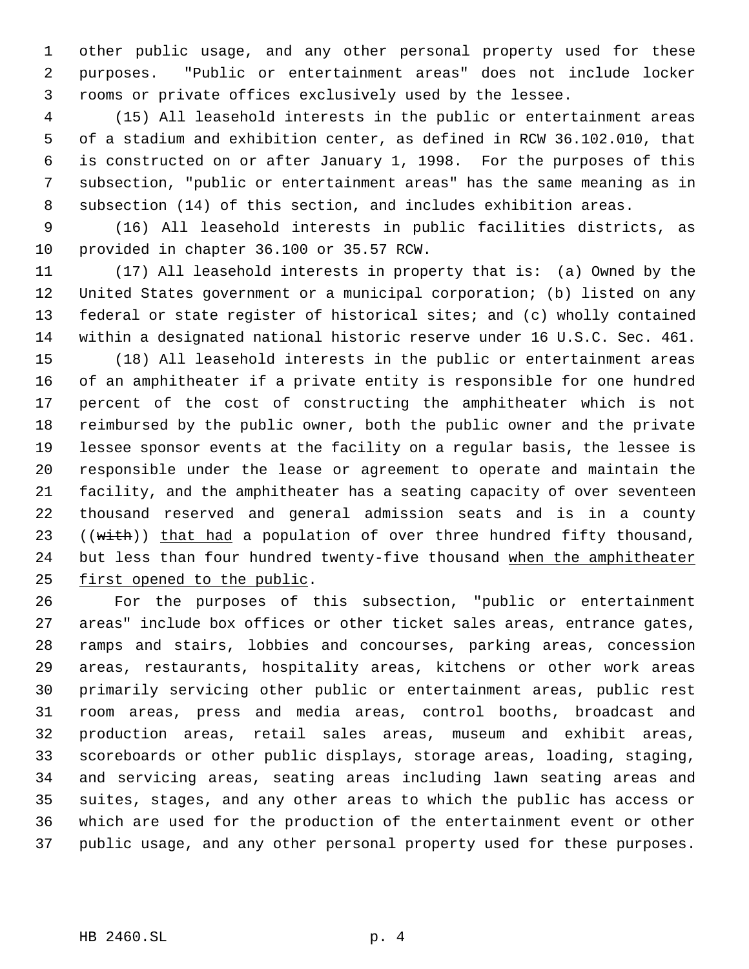other public usage, and any other personal property used for these purposes. "Public or entertainment areas" does not include locker rooms or private offices exclusively used by the lessee.

 (15) All leasehold interests in the public or entertainment areas of a stadium and exhibition center, as defined in RCW 36.102.010, that is constructed on or after January 1, 1998. For the purposes of this subsection, "public or entertainment areas" has the same meaning as in subsection (14) of this section, and includes exhibition areas.

 (16) All leasehold interests in public facilities districts, as provided in chapter 36.100 or 35.57 RCW.

 (17) All leasehold interests in property that is: (a) Owned by the United States government or a municipal corporation; (b) listed on any federal or state register of historical sites; and (c) wholly contained within a designated national historic reserve under 16 U.S.C. Sec. 461.

 (18) All leasehold interests in the public or entertainment areas of an amphitheater if a private entity is responsible for one hundred percent of the cost of constructing the amphitheater which is not reimbursed by the public owner, both the public owner and the private lessee sponsor events at the facility on a regular basis, the lessee is responsible under the lease or agreement to operate and maintain the facility, and the amphitheater has a seating capacity of over seventeen thousand reserved and general admission seats and is in a county 23 ((with)) that had a population of over three hundred fifty thousand, 24 but less than four hundred twenty-five thousand when the amphitheater first opened to the public.

 For the purposes of this subsection, "public or entertainment areas" include box offices or other ticket sales areas, entrance gates, ramps and stairs, lobbies and concourses, parking areas, concession areas, restaurants, hospitality areas, kitchens or other work areas primarily servicing other public or entertainment areas, public rest room areas, press and media areas, control booths, broadcast and production areas, retail sales areas, museum and exhibit areas, scoreboards or other public displays, storage areas, loading, staging, and servicing areas, seating areas including lawn seating areas and suites, stages, and any other areas to which the public has access or which are used for the production of the entertainment event or other public usage, and any other personal property used for these purposes.